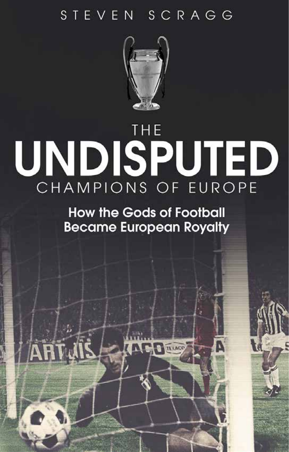# STEVEN SCRAGG



# THE UNDISPUTED CHAMPIONS OF EUROPE

**How the Gods of Football Became European Royalty** 

**THE REACC**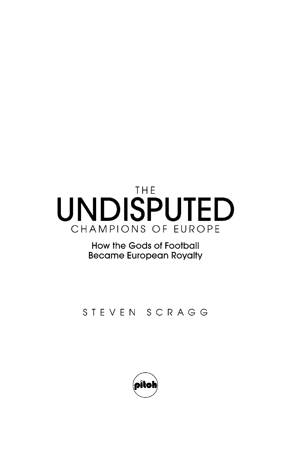# THE. UNDISPUTED CHAMPIONS OF EUROPE

How the Gods of Football **Became European Royalty** 

#### STEVEN SCRAGG

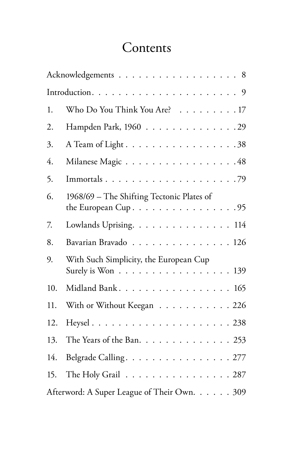## **Contents**

|     | Acknowledgements 8                                                                                         |
|-----|------------------------------------------------------------------------------------------------------------|
|     |                                                                                                            |
| 1.  | Who Do You Think You Are? 17                                                                               |
| 2.  | Hampden Park, 1960 29                                                                                      |
| 3.  | A Team of Light 38                                                                                         |
| 4.  | Milanese Magic 48                                                                                          |
| 5.  | Immortals79                                                                                                |
| 6.  | 1968/69 – The Shifting Tectonic Plates of<br>the European Cup. $\dots \dots \dots \dots \dots \dots \dots$ |
| 7.  | Lowlands Uprising. 114                                                                                     |
| 8.  | Bavarian Bravado 126                                                                                       |
| 9.  | With Such Simplicity, the European Cup<br>Surely is Won $\ldots \ldots \ldots \ldots \ldots \ldots 139$    |
| 10. | Midland Bank. 165                                                                                          |
| 11. | With or Without Keegan 226                                                                                 |
| 12. |                                                                                                            |
| 13. | The Years of the Ban. $\ldots \ldots \ldots \ldots \ldots 253$                                             |
| 14. | Belgrade Calling. 277                                                                                      |
| 15. | The Holy Grail 287                                                                                         |
|     | Afterword: A Super League of Their Own. 309                                                                |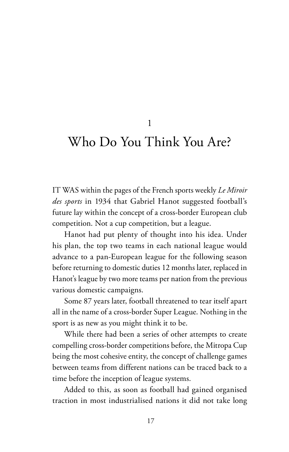1

### Who Do You Think You Are?

IT WAS within the pages of the French sports weekly *Le Miroir des sports* in 1934 that Gabriel Hanot suggested football's future lay within the concept of a cross-border European club competition. Not a cup competition, but a league.

Hanot had put plenty of thought into his idea. Under his plan, the top two teams in each national league would advance to a pan-European league for the following season before returning to domestic duties 12 months later, replaced in Hanot's league by two more teams per nation from the previous various domestic campaigns.

Some 87 years later, football threatened to tear itself apart all in the name of a cross-border Super League. Nothing in the sport is as new as you might think it to be.

While there had been a series of other attempts to create compelling cross-border competitions before, the Mitropa Cup being the most cohesive entity, the concept of challenge games between teams from different nations can be traced back to a time before the inception of league systems.

Added to this, as soon as football had gained organised traction in most industrialised nations it did not take long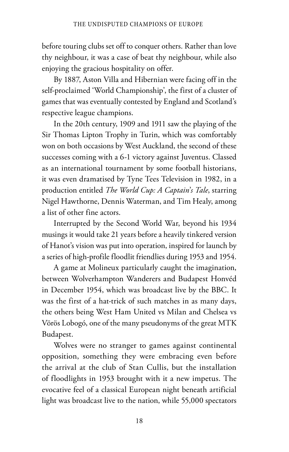before touring clubs set off to conquer others. Rather than love thy neighbour, it was a case of beat thy neighbour, while also enjoying the gracious hospitality on offer.

By 1887, Aston Villa and Hibernian were facing off in the self-proclaimed 'World Championship', the first of a cluster of games that was eventually contested by England and Scotland's respective league champions.

In the 20th century, 1909 and 1911 saw the playing of the Sir Thomas Lipton Trophy in Turin, which was comfortably won on both occasions by West Auckland, the second of these successes coming with a 6-1 victory against Juventus. Classed as an international tournament by some football historians, it was even dramatised by Tyne Tees Television in 1982, in a production entitled *The World Cup: A Captain*'*s Tale*, starring Nigel Hawthorne, Dennis Waterman, and Tim Healy, among a list of other fine actors.

Interrupted by the Second World War, beyond his 1934 musings it would take 21 years before a heavily tinkered version of Hanot's vision was put into operation, inspired for launch by a series of high-profile floodlit friendlies during 1953 and 1954.

A game at Molineux particularly caught the imagination, between Wolverhampton Wanderers and Budapest Honvéd in December 1954, which was broadcast live by the BBC. It was the first of a hat-trick of such matches in as many days, the others being West Ham United vs Milan and Chelsea vs Vörös Lobogó, one of the many pseudonyms of the great MTK Budapest.

Wolves were no stranger to games against continental opposition, something they were embracing even before the arrival at the club of Stan Cullis, but the installation of floodlights in 1953 brought with it a new impetus. The evocative feel of a classical European night beneath artificial light was broadcast live to the nation, while 55,000 spectators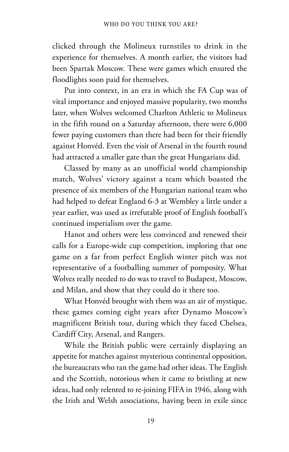clicked through the Molineux turnstiles to drink in the experience for themselves. A month earlier, the visitors had been Spartak Moscow. These were games which ensured the floodlights soon paid for themselves.

Put into context, in an era in which the FA Cup was of vital importance and enjoyed massive popularity, two months later, when Wolves welcomed Charlton Athletic to Molineux in the fifth round on a Saturday afternoon, there were 6,000 fewer paying customers than there had been for their friendly against Honvéd. Even the visit of Arsenal in the fourth round had attracted a smaller gate than the great Hungarians did.

Classed by many as an unofficial world championship match, Wolves' victory against a team which boasted the presence of six members of the Hungarian national team who had helped to defeat England 6-3 at Wembley a little under a year earlier, was used as irrefutable proof of English football's continued imperialism over the game.

Hanot and others were less convinced and renewed their calls for a Europe-wide cup competition, imploring that one game on a far from perfect English winter pitch was not representative of a footballing summer of pomposity. What Wolves really needed to do was to travel to Budapest, Moscow, and Milan, and show that they could do it there too.

What Honvéd brought with them was an air of mystique, these games coming eight years after Dynamo Moscow's magnificent British tour, during which they faced Chelsea, Cardiff City, Arsenal, and Rangers.

While the British public were certainly displaying an appetite for matches against mysterious continental opposition, the bureaucrats who ran the game had other ideas. The English and the Scottish, notorious when it came to bristling at new ideas, had only relented to re-joining FIFA in 1946, along with the Irish and Welsh associations, having been in exile since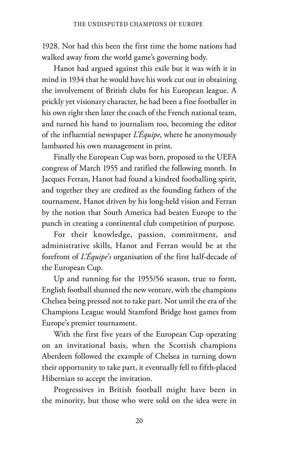1928. Nor had this been the first time the home nations had walked away from the world game's governing body.

Hanot had argued against this exile but it was with it in mind in 1934 that he would have his work cut out in obtaining the involvement of British clubs for his European league. A prickly yet visionary character, he had been a fine footballer in his own right then later the coach of the French national team, and turned his hand to journalism too, becoming the editor of the influential newspaper *L'Équipe*, where he anonymously lambasted his own management in print.

Finally the European Cup was born, proposed to the UEFA congress of March 1955 and ratified the following month. In Jacques Ferran, Hanot had found a kindred footballing spirit, and together they are credited as the founding fathers of the tournament, Hanot driven by his long-held vision and Ferran by the notion that South America had beaten Europe to the punch in creating a continental club competition of purpose.

For their knowledge, passion, commitment, and administrative skills, Hanot and Ferran would be at the forefront of *L'Équipe*'*s* organisation of the first half-decade of the European Cup.

Up and running for the 1955/56 season, true to form, English football shunned the new venture, with the champions Chelsea being pressed not to take part. Not until the era of the Champions League would Stamford Bridge host games from Europe's premier tournament.

With the first five years of the European Cup operating on an invitational basis, when the Scottish champions Aberdeen followed the example of Chelsea in turning down their opportunity to take part, it eventually fell to fifth-placed Hibernian to accept the invitation.

Progressives in British football might have been in the minority, but those who were sold on the idea were in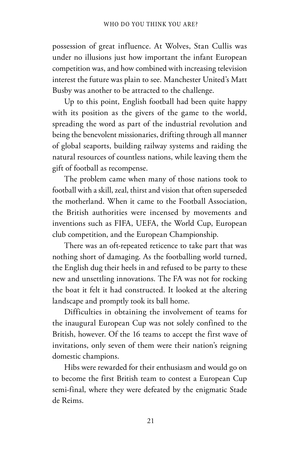possession of great influence. At Wolves, Stan Cullis was under no illusions just how important the infant European competition was, and how combined with increasing television interest the future was plain to see. Manchester United's Matt Busby was another to be attracted to the challenge.

Up to this point, English football had been quite happy with its position as the givers of the game to the world, spreading the word as part of the industrial revolution and being the benevolent missionaries, drifting through all manner of global seaports, building railway systems and raiding the natural resources of countless nations, while leaving them the gift of football as recompense.

The problem came when many of those nations took to football with a skill, zeal, thirst and vision that often superseded the motherland. When it came to the Football Association, the British authorities were incensed by movements and inventions such as FIFA, UEFA, the World Cup, European club competition, and the European Championship.

There was an oft-repeated reticence to take part that was nothing short of damaging. As the footballing world turned, the English dug their heels in and refused to be party to these new and unsettling innovations. The FA was not for rocking the boat it felt it had constructed. It looked at the altering landscape and promptly took its ball home.

Difficulties in obtaining the involvement of teams for the inaugural European Cup was not solely confined to the British, however. Of the 16 teams to accept the first wave of invitations, only seven of them were their nation's reigning domestic champions.

Hibs were rewarded for their enthusiasm and would go on to become the first British team to contest a European Cup semi-final, where they were defeated by the enigmatic Stade de Reims.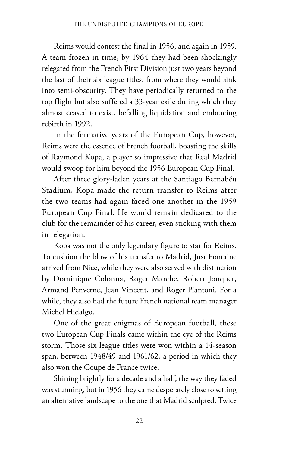Reims would contest the final in 1956, and again in 1959. A team frozen in time, by 1964 they had been shockingly relegated from the French First Division just two years beyond the last of their six league titles, from where they would sink into semi-obscurity. They have periodically returned to the top flight but also suffered a 33-year exile during which they almost ceased to exist, befalling liquidation and embracing rebirth in 1992.

In the formative years of the European Cup, however, Reims were the essence of French football, boasting the skills of Raymond Kopa, a player so impressive that Real Madrid would swoop for him beyond the 1956 European Cup Final.

After three glory-laden years at the Santiago Bernabéu Stadium, Kopa made the return transfer to Reims after the two teams had again faced one another in the 1959 European Cup Final. He would remain dedicated to the club for the remainder of his career, even sticking with them in relegation.

Kopa was not the only legendary figure to star for Reims. To cushion the blow of his transfer to Madrid, Just Fontaine arrived from Nice, while they were also served with distinction by Dominique Colonna, Roger Marche, Robert Jonquet, Armand Penverne, Jean Vincent, and Roger Piantoni. For a while, they also had the future French national team manager Michel Hidalgo.

One of the great enigmas of European football, these two European Cup Finals came within the eye of the Reims storm. Those six league titles were won within a 14-season span, between 1948/49 and 1961/62, a period in which they also won the Coupe de France twice.

Shining brightly for a decade and a half, the way they faded was stunning, but in 1956 they came desperately close to setting an alternative landscape to the one that Madrid sculpted. Twice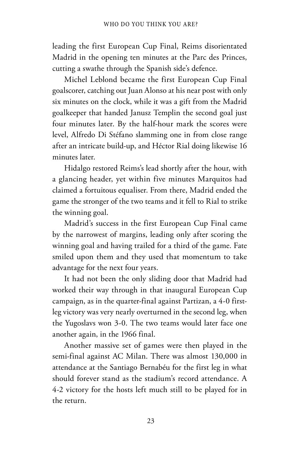leading the first European Cup Final, Reims disorientated Madrid in the opening ten minutes at the Parc des Princes, cutting a swathe through the Spanish side's defence.

Michel Leblond became the first European Cup Final goalscorer, catching out Juan Alonso at his near post with only six minutes on the clock, while it was a gift from the Madrid goalkeeper that handed Janusz Templin the second goal just four minutes later. By the half-hour mark the scores were level, Alfredo Di Stéfano slamming one in from close range after an intricate build-up, and Héctor Rial doing likewise 16 minutes later.

Hidalgo restored Reims's lead shortly after the hour, with a glancing header, yet within five minutes Marquitos had claimed a fortuitous equaliser. From there, Madrid ended the game the stronger of the two teams and it fell to Rial to strike the winning goal.

Madrid's success in the first European Cup Final came by the narrowest of margins, leading only after scoring the winning goal and having trailed for a third of the game. Fate smiled upon them and they used that momentum to take advantage for the next four years.

It had not been the only sliding door that Madrid had worked their way through in that inaugural European Cup campaign, as in the quarter-final against Partizan, a 4-0 firstleg victory was very nearly overturned in the second leg, when the Yugoslavs won 3-0. The two teams would later face one another again, in the 1966 final.

Another massive set of games were then played in the semi-final against AC Milan. There was almost 130,000 in attendance at the Santiago Bernabéu for the first leg in what should forever stand as the stadium's record attendance. A 4-2 victory for the hosts left much still to be played for in the return.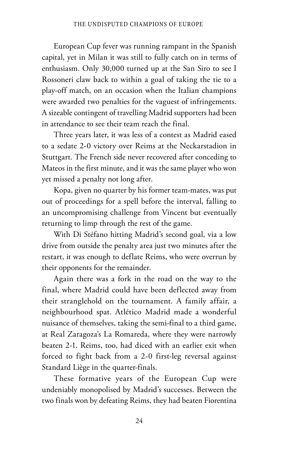European Cup fever was running rampant in the Spanish capital, yet in Milan it was still to fully catch on in terms of enthusiasm. Only 30,000 turned up at the San Siro to see I Rossoneri claw back to within a goal of taking the tie to a play-off match, on an occasion when the Italian champions were awarded two penalties for the vaguest of infringements. A sizeable contingent of travelling Madrid supporters had been in attendance to see their team reach the final.

Three years later, it was less of a contest as Madrid eased to a sedate 2-0 victory over Reims at the Neckarstadion in Stuttgart. The French side never recovered after conceding to Mateos in the first minute, and it was the same player who won yet missed a penalty not long after.

Kopa, given no quarter by his former team-mates, was put out of proceedings for a spell before the interval, falling to an uncompromising challenge from Vincent but eventually returning to limp through the rest of the game.

With Di Stéfano hitting Madrid's second goal, via a low drive from outside the penalty area just two minutes after the restart, it was enough to deflate Reims, who were overrun by their opponents for the remainder.

Again there was a fork in the road on the way to the final, where Madrid could have been deflected away from their stranglehold on the tournament. A family affair, a neighbourhood spat. Atlético Madrid made a wonderful nuisance of themselves, taking the semi-final to a third game, at Real Zaragoza's La Romareda, where they were narrowly beaten 2-1. Reims, too, had diced with an earlier exit when forced to fight back from a 2-0 first-leg reversal against Standard Liège in the quarter-finals.

These formative years of the European Cup were undeniably monopolised by Madrid's successes. Between the two finals won by defeating Reims, they had beaten Fiorentina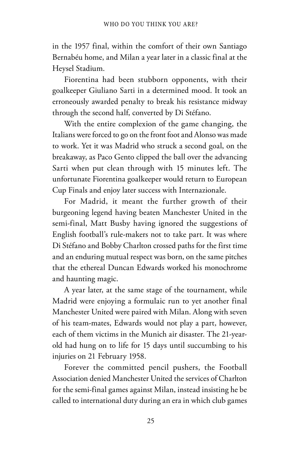in the 1957 final, within the comfort of their own Santiago Bernabéu home, and Milan a year later in a classic final at the Heysel Stadium.

Fiorentina had been stubborn opponents, with their goalkeeper Giuliano Sarti in a determined mood. It took an erroneously awarded penalty to break his resistance midway through the second half, converted by Di Stéfano.

With the entire complexion of the game changing, the Italians were forced to go on the front foot and Alonso was made to work. Yet it was Madrid who struck a second goal, on the breakaway, as Paco Gento clipped the ball over the advancing Sarti when put clean through with 15 minutes left. The unfortunate Fiorentina goalkeeper would return to European Cup Finals and enjoy later success with Internazionale.

For Madrid, it meant the further growth of their burgeoning legend having beaten Manchester United in the semi-final, Matt Busby having ignored the suggestions of English football's rule-makers not to take part. It was where Di Stéfano and Bobby Charlton crossed paths for the first time and an enduring mutual respect was born, on the same pitches that the ethereal Duncan Edwards worked his monochrome and haunting magic.

A year later, at the same stage of the tournament, while Madrid were enjoying a formulaic run to yet another final Manchester United were paired with Milan. Along with seven of his team-mates, Edwards would not play a part, however, each of them victims in the Munich air disaster. The 21-yearold had hung on to life for 15 days until succumbing to his injuries on 21 February 1958.

Forever the committed pencil pushers, the Football Association denied Manchester United the services of Charlton for the semi-final games against Milan, instead insisting he be called to international duty during an era in which club games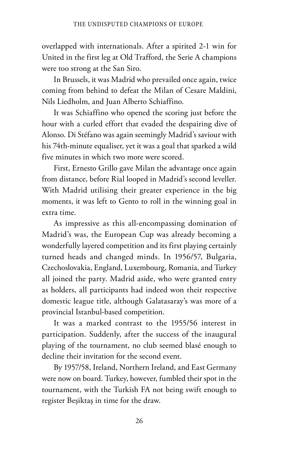overlapped with internationals. After a spirited 2-1 win for United in the first leg at Old Trafford, the Serie A champions were too strong at the San Siro.

In Brussels, it was Madrid who prevailed once again, twice coming from behind to defeat the Milan of Cesare Maldini, Nils Liedholm, and Juan Alberto Schiaffino.

It was Schiaffino who opened the scoring just before the hour with a curled effort that evaded the despairing dive of Alonso. Di Stéfano was again seemingly Madrid's saviour with his 74th-minute equaliser, yet it was a goal that sparked a wild five minutes in which two more were scored.

First, Ernesto Grillo gave Milan the advantage once again from distance, before Rial looped in Madrid's second leveller. With Madrid utilising their greater experience in the big moments, it was left to Gento to roll in the winning goal in extra time.

As impressive as this all-encompassing domination of Madrid's was, the European Cup was already becoming a wonderfully layered competition and its first playing certainly turned heads and changed minds. In 1956/57, Bulgaria, Czechoslovakia, England, Luxembourg, Romania, and Turkey all joined the party. Madrid aside, who were granted entry as holders, all participants had indeed won their respective domestic league title, although Galatasaray's was more of a provincial Istanbul-based competition.

It was a marked contrast to the 1955/56 interest in participation. Suddenly, after the success of the inaugural playing of the tournament, no club seemed blasé enough to decline their invitation for the second event.

By 1957/58, Ireland, Northern Ireland, and East Germany were now on board. Turkey, however, fumbled their spot in the tournament, with the Turkish FA not being swift enough to register Beşiktaş in time for the draw.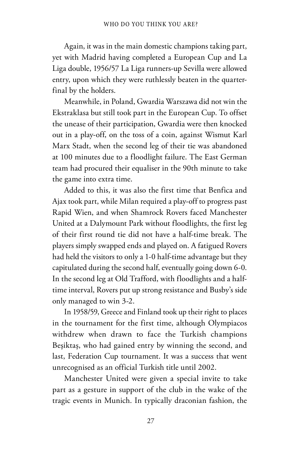Again, it was in the main domestic champions taking part, yet with Madrid having completed a European Cup and La Liga double, 1956/57 La Liga runners-up Sevilla were allowed entry, upon which they were ruthlessly beaten in the quarterfinal by the holders.

Meanwhile, in Poland, Gwardia Warszawa did not win the Ekstraklasa but still took part in the European Cup. To offset the unease of their participation, Gwardia were then knocked out in a play-off, on the toss of a coin, against Wismut Karl Marx Stadt, when the second leg of their tie was abandoned at 100 minutes due to a floodlight failure. The East German team had procured their equaliser in the 90th minute to take the game into extra time.

Added to this, it was also the first time that Benfica and Ajax took part, while Milan required a play-off to progress past Rapid Wien, and when Shamrock Rovers faced Manchester United at a Dalymount Park without floodlights, the first leg of their first round tie did not have a half-time break. The players simply swapped ends and played on. A fatigued Rovers had held the visitors to only a 1-0 half-time advantage but they capitulated during the second half, eventually going down 6-0. In the second leg at Old Trafford, with floodlights and a halftime interval, Rovers put up strong resistance and Busby's side only managed to win 3-2.

In 1958/59, Greece and Finland took up their right to places in the tournament for the first time, although Olympiacos withdrew when drawn to face the Turkish champions Beşiktaş, who had gained entry by winning the second, and last, Federation Cup tournament. It was a success that went unrecognised as an official Turkish title until 2002.

Manchester United were given a special invite to take part as a gesture in support of the club in the wake of the tragic events in Munich. In typically draconian fashion, the